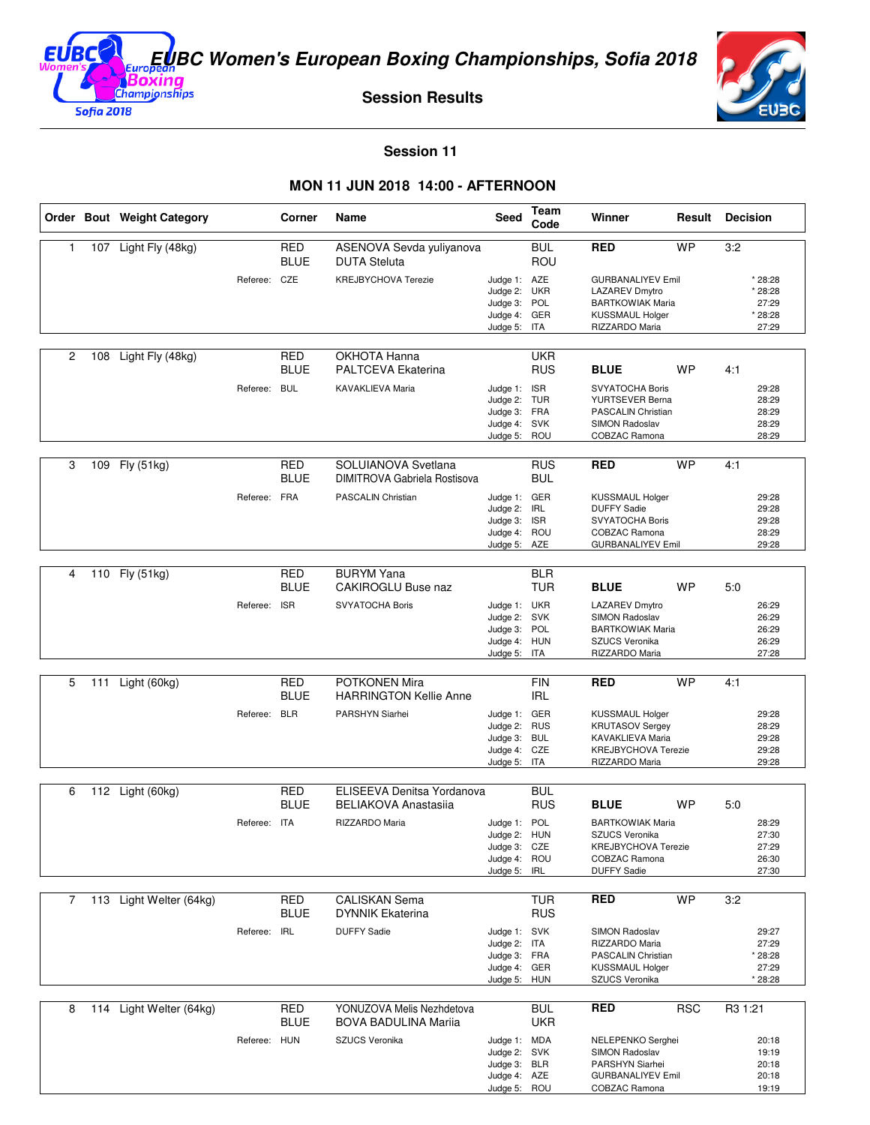

**Session Results**



**Session 11** 

## **MON 11 JUN 2018 14:00 - AFTERNOON**

|    |     | Order Bout Weight Category |              | Corner                    | Name                                                     | Seed                                                                         | Team<br>Code             | Winner                                                                                                                   | Result     | <b>Decision</b>                                 |
|----|-----|----------------------------|--------------|---------------------------|----------------------------------------------------------|------------------------------------------------------------------------------|--------------------------|--------------------------------------------------------------------------------------------------------------------------|------------|-------------------------------------------------|
| 1. |     | 107 Light Fly (48kg)       |              | RED<br><b>BLUE</b>        | ASENOVA Sevda yuliyanova<br><b>DUTA Steluta</b>          |                                                                              | <b>BUL</b><br>ROU        | <b>RED</b>                                                                                                               | <b>WP</b>  | 3:2                                             |
|    |     |                            | Referee: CZE |                           | <b>KREJBYCHOVA Terezie</b>                               | Judge 1: AZE<br>Judge 2: UKR<br>Judge 3: POL<br>Judge 4: GER<br>Judge 5: ITA |                          | <b>GURBANALIYEV Emil</b><br><b>LAZAREV Dmytro</b><br><b>BARTKOWIAK Maria</b><br><b>KUSSMAUL Holger</b><br>RIZZARDO Maria |            | * 28:28<br>* 28:28<br>27:29<br>* 28:28<br>27:29 |
| 2  | 108 | Light Fly (48kg)           |              | RED<br><b>BLUE</b>        | OKHOTA Hanna<br>PALTCEVA Ekaterina                       |                                                                              | UKR<br><b>RUS</b>        | <b>BLUE</b>                                                                                                              | <b>WP</b>  | 4:1                                             |
|    |     |                            | Referee: BUL |                           | KAVAKLIEVA Maria                                         | Judge 1: ISR<br>Judge 2: TUR<br>Judge 3: FRA<br>Judge 4: SVK<br>Judge 5: ROU |                          | <b>SVYATOCHA Boris</b><br>YURTSEVER Berna<br>PASCALIN Christian<br>SIMON Radoslav<br>COBZAC Ramona                       |            | 29:28<br>28:29<br>28:29<br>28:29<br>28:29       |
| 3  |     | 109 Fly (51kg)             |              | RED<br><b>BLUE</b>        | SOLUIANOVA Svetlana<br>DIMITROVA Gabriela Rostisova      |                                                                              | <b>RUS</b><br><b>BUL</b> | <b>RED</b>                                                                                                               | <b>WP</b>  | 4:1                                             |
|    |     |                            | Referee: FRA |                           | PASCALIN Christian                                       | Judge 1: GER<br>Judge 2: IRL<br>Judge 3: ISR<br>Judge 4: ROU<br>Judge 5: AZE |                          | <b>KUSSMAUL Holger</b><br><b>DUFFY Sadie</b><br>SVYATOCHA Boris<br><b>COBZAC Ramona</b><br><b>GURBANALIYEV Emil</b>      |            | 29:28<br>29:28<br>29:28<br>28:29<br>29:28       |
| 4  |     | 110 Fly (51kg)             |              | <b>RED</b><br><b>BLUE</b> | <b>BURYM Yana</b><br>CAKIROGLU Buse naz                  |                                                                              | <b>BLR</b><br><b>TUR</b> | <b>BLUE</b>                                                                                                              | <b>WP</b>  | 5:0                                             |
|    |     |                            | Referee: ISR |                           | SVYATOCHA Boris                                          | Judge 1: UKR<br>Judge 2: SVK<br>Judge 3: POL<br>Judge 4: HUN<br>Judge 5: ITA |                          | LAZAREV Dmytro<br>SIMON Radoslav<br><b>BARTKOWIAK Maria</b><br>SZUCS Veronika<br>RIZZARDO Maria                          |            | 26:29<br>26:29<br>26:29<br>26:29<br>27:28       |
| 5  | 111 | Light (60kg)               |              | <b>RED</b><br><b>BLUE</b> | POTKONEN Mira<br><b>HARRINGTON Kellie Anne</b>           |                                                                              | <b>FIN</b><br><b>IRL</b> | <b>RED</b>                                                                                                               | <b>WP</b>  | 4:1                                             |
|    |     |                            | Referee: BLR |                           | PARSHYN Siarhei                                          | Judge 1: GER<br>Judge 2: RUS<br>Judge 3: BUL<br>Judge 4: CZE<br>Judge 5: ITA |                          | KUSSMAUL Holger<br><b>KRUTASOV Sergey</b><br>KAVAKLIEVA Maria<br><b>KREJBYCHOVA Terezie</b><br>RIZZARDO Maria            |            | 29:28<br>28:29<br>29:28<br>29:28<br>29:28       |
| 6  |     | 112 Light (60kg)           |              | <b>RED</b>                | ELISEEVA Denitsa Yordanova                               |                                                                              | <b>BUL</b>               |                                                                                                                          |            |                                                 |
|    |     |                            |              | <b>BLUE</b>               | <b>BELIAKOVA Anastasiia</b>                              |                                                                              | <b>RUS</b>               | <b>BLUE</b>                                                                                                              | WP         | 5:0                                             |
|    |     |                            | Referee: ITA |                           | RIZZARDO Maria                                           | Judge 1: POL<br>Judge 2: HUN<br>Judge 3: CZE<br>Judge 4: ROU<br>Judge 5:     | IRL                      | <b>BARTKOWIAK Maria</b><br>SZUCS Veronika<br>KREJBYCHOVA Terezie<br>COBZAC Ramona<br><b>DUFFY Sadie</b>                  |            | 28:29<br>27:30<br>27:29<br>26:30<br>27:30       |
| 7  |     | 113 Light Welter (64kg)    |              | RED                       | CALISKAN Sema                                            |                                                                              | <b>TUR</b>               | RED                                                                                                                      | WP         | 3:2                                             |
|    |     |                            |              | BLUE                      | <b>DYNNIK Ekaterina</b>                                  |                                                                              | <b>RUS</b>               |                                                                                                                          |            |                                                 |
|    |     |                            | Referee:     | <b>IRL</b>                | <b>DUFFY Sadie</b>                                       | Judge 1: SVK<br>Judge 2: ITA<br>Judge 3: FRA<br>Judge 4: GER<br>Judge 5: HUN |                          | SIMON Radoslav<br>RIZZARDO Maria<br><b>PASCALIN Christian</b><br><b>KUSSMAUL Holger</b><br>SZUCS Veronika                |            | 29:27<br>27:29<br>* 28:28<br>27:29<br>* 28:28   |
| 8  |     | 114 Light Welter (64kg)    |              | <b>RED</b><br><b>BLUE</b> | YONUZOVA Melis Nezhdetova<br><b>BOVA BADULINA Marija</b> |                                                                              | <b>BUL</b><br><b>UKR</b> | RED                                                                                                                      | <b>RSC</b> | R3 1:21                                         |
|    |     |                            | Referee: HUN |                           | SZUCS Veronika                                           | Judge 1: MDA<br>Judge 2: SVK<br>Judge 3: BLR<br>Judge 4: AZE<br>Judge 5: ROU |                          | NELEPENKO Serghei<br>SIMON Radoslav<br>PARSHYN Siarhei<br><b>GURBANALIYEV Emil</b><br>COBZAC Ramona                      |            | 20:18<br>19:19<br>20:18<br>20:18<br>19:19       |